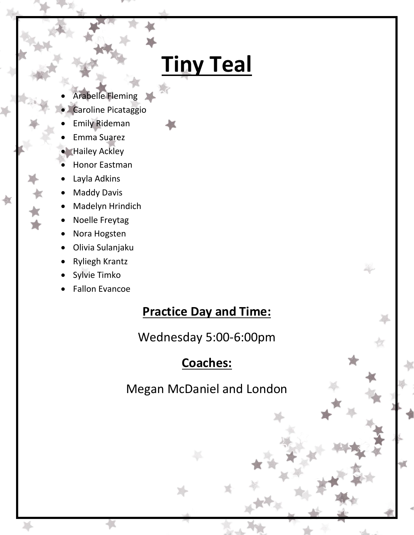# **Tiny Teal**

- Arabelle Fleming
- Caroline Picataggio
- Emily Rideman
- Emma Suarez
- Hailey Ackley
- Honor Eastman
- Layla Adkins
- Maddy Davis

煮

- Madelyn Hrindich
- Noelle Freytag
- Nora Hogsten
- Olivia Sulanjaku
- Ryliegh Krantz
- Sylvie Timko
- Fallon Evancoe

#### **Practice Day and Time:**

Wednesday 5:00-6:00pm

### **Coaches:**

Megan McDaniel and London

ď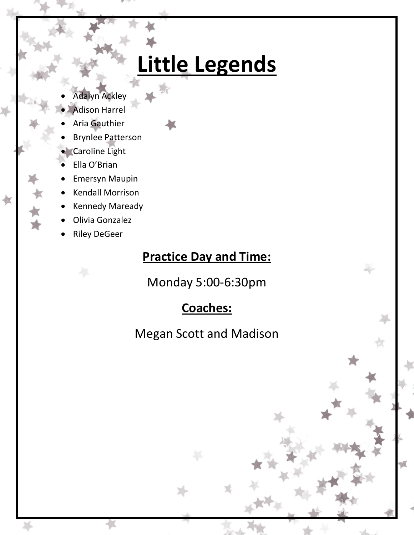# **Little Legends**

- Adalyn Ackley
- Adison Harrel
- Aria Gauthier
- 
- Brynlee Patterson
- **Caroline Light**
- Ella O'Brian

也

- Emersyn Maupin
- Kendall Morrison
- Kennedy Maready
- Olivia Gonzalez
- Riley DeGeer

### **Practice Day and Time:**

Monday 5:00-6:30pm

### **Coaches:**

Megan Scott and Madison

颪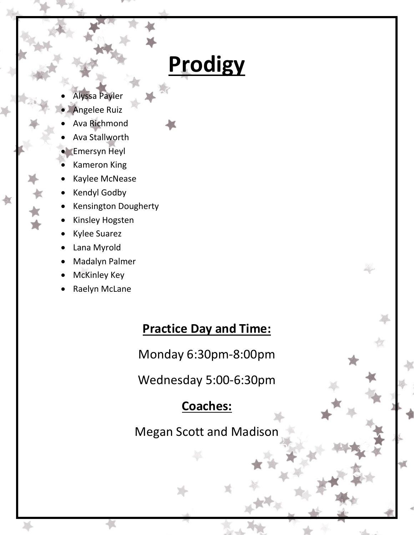# **Prodigy**

- Alyssa Payler
- Angelee Ruiz
- Ava Richmond
- Ava Stallworth
- Emersyn Heyl
- Kameron King
- Kaylee McNease
- Kendyl Godby

也

- Kensington Dougherty
- Kinsley Hogsten
- Kylee Suarez
- Lana Myrold
- Madalyn Palmer
- McKinley Key
- Raelyn McLane

#### **Practice Day and Time:**

Monday 6:30pm-8:00pm

Wednesday 5:00-6:30pm

### **Coaches:**

Megan Scott and Madison

颪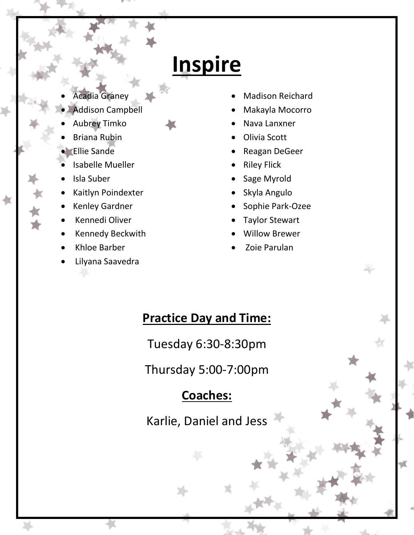## **Inspire**

- Acadia Graney
- Addison Campbell
- Aubrey Timko
- Briana Rubin
- Ellie Sande
- Isabelle Mueller
- Isla Suber

煮

- Kaitlyn Poindexter
- Kenley Gardner
- Kennedi Oliver
- Kennedy Beckwith
- Khloe Barber
- Lilyana Saavedra
- Madison Reichard
- Makayla Mocorro
- Nava Lanxner
- Olivia Scott
- Reagan DeGeer
- Riley Flick
- Sage Myrold
- Skyla Angulo
- Sophie Park-Ozee
- Taylor Stewart
- Willow Brewer
- Zoie Parulan

### **Practice Day and Time:**

Tuesday 6:30-8:30pm

Thursday 5:00-7:00pm

### **Coaches:**

Karlie, Daniel and Jess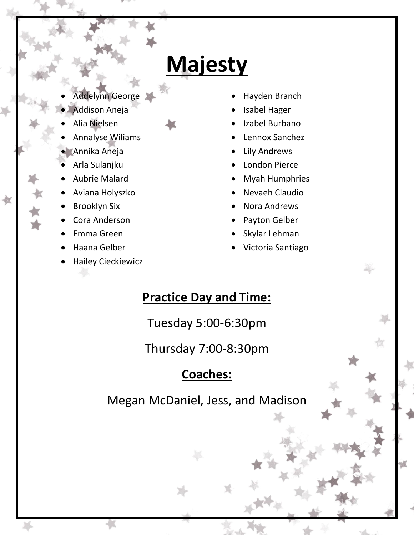## **Majesty**

- Addelynn George
- Addison Aneja
- Alia Nielsen
- Annalyse Wiliams
- Annika Aneja
- Arla Sulanjku
- Aubrie Malard
- Aviana Holyszko
- Brooklyn Six

血

- Cora Anderson
- Emma Green
- Haana Gelber
- Hailey Cieckiewicz
- Hayden Branch
- Isabel Hager
- Izabel Burbano
- Lennox Sanchez
- Lily Andrews
- London Pierce
- Myah Humphries
- Nevaeh Claudio
- Nora Andrews
- Payton Gelber
- Skylar Lehman
- Victoria Santiago

### **Practice Day and Time:**

Tuesday 5:00-6:30pm

Thursday 7:00-8:30pm

### **Coaches:**

Megan McDaniel, Jess, and Madison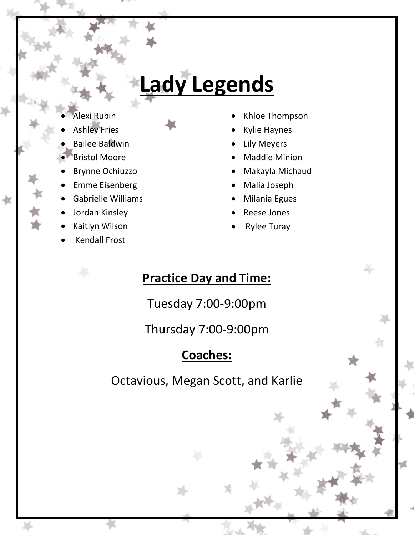# **Lady Legends**

- lexi Rubin
- Ashley Fries
- Bailee Baldwin
- Bristol Moore
- Brynne Ochiuzzo
- Emme Eisenberg
- Gabrielle Williams
- Jordan Kinsley

煮

- Kaitlyn Wilson
- Kendall Frost
- Khloe Thompson
- Kylie Haynes
- Lily Meyers
- Maddie Minion
- Makayla Michaud
- Malia Joseph
- Milania Egues
- Reese Jones
- Rylee Turay

### **Practice Day and Time:**

Tuesday 7:00-9:00pm

Thursday 7:00-9:00pm

## **Coaches:**

Octavious, Megan Scott, and Karlie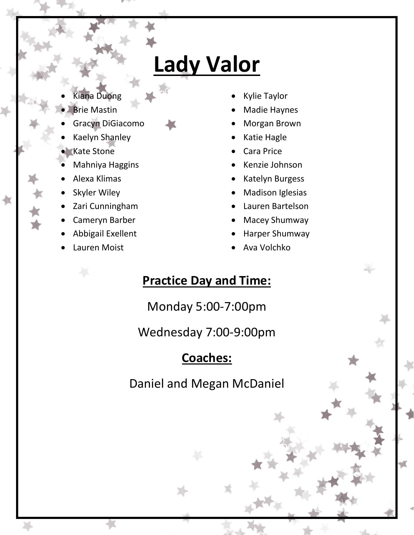# **Lady Valor**

- Kiana Duong
- Brie Mastin
- Gracyn DiGiacomo
- Kaelyn Shanley
- **Kate Stone**
- Mahniya Haggins
- Alexa Klimas
- Skyler Wiley
- Zari Cunningham
- Cameryn Barber
- Abbigail Exellent
- Lauren Moist
- Kylie Taylor
- Madie Haynes
- Morgan Brown
- Katie Hagle
- Cara Price
- Kenzie Johnson
- Katelyn Burgess
- Madison Iglesias
- Lauren Bartelson
- Macey Shumway
- Harper Shumway
- Ava Volchko

### **Practice Day and Time:**

Monday 5:00-7:00pm

Wednesday 7:00-9:00pm

### **Coaches:**

Daniel and Megan McDaniel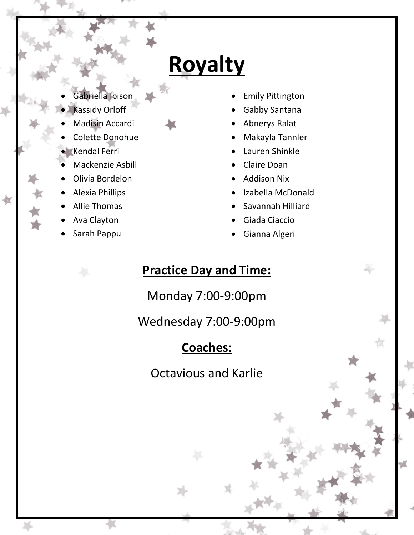## **Royalty**

- Gabriella Ibison
- Kassidy Orloff
- Madisin Accardi
- Colette Donohue
- Kendal Ferri
- Mackenzie Asbill
- Olivia Bordelon
- Alexia Phillips
- Allie Thomas

煮

- Ava Clayton
- Sarah Pappu
- Emily Pittington
- Gabby Santana
- Abnerys Ralat
- Makayla Tannler
- Lauren Shinkle
- Claire Doan
- Addison Nix
- Izabella McDonald
- Savannah Hilliard
- Giada Ciaccio
- Gianna Algeri

### **Practice Day and Time:**

Monday 7:00-9:00pm

Wednesday 7:00-9:00pm

### **Coaches:**

Octavious and Karlie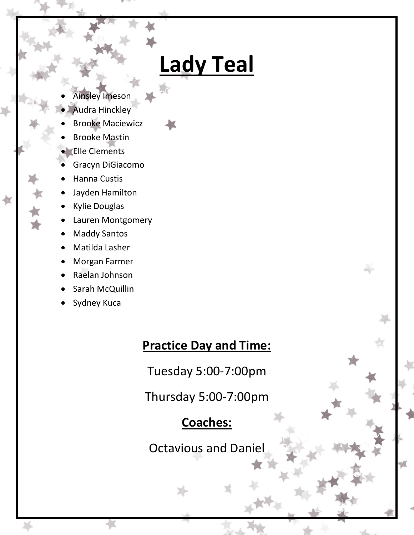## **Lady Teal**

- Ainsley Imeson
- Audra Hinckley
- Brooke Maciewicz
- Brooke Mastin
- Elle Clements
- Gracyn DiGiacomo
- Hanna Custis
- Jayden Hamilton
- Kylie Douglas

煮

- Lauren Montgomery
- Maddy Santos
- Matilda Lasher
- Morgan Farmer
- Raelan Johnson
- Sarah McQuillin
- Sydney Kuca

### **Practice Day and Time:**

Tuesday 5:00-7:00pm

Thursday 5:00-7:00pm

### **Coaches:**

Octavious and Daniel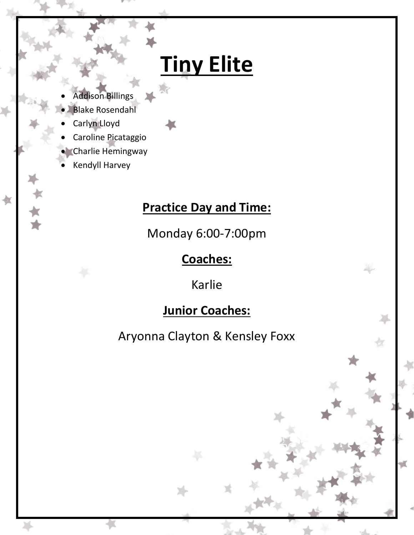# **Tiny Elite**

- Addison Billings
- Blake Rosendahl
- Carlyn Lloyd
- Caroline Picataggio
- **Charlie Hemingway**
- Kendyll Harvey

也

### **Practice Day and Time:**

Monday 6:00-7:00pm

### **Coaches:**

Karlie

### **Junior Coaches:**

Aryonna Clayton & Kensley Foxx

颪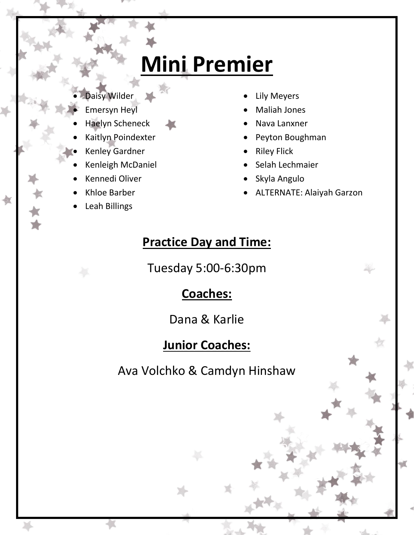# **Mini Premier**

- Daisy Wilder
- Emersyn Heyl
- Haelyn Scheneck
- Kaitlyn Poindexter
- Kenley Gardner
- Kenleigh McDaniel
- Kennedi Oliver
- Khloe Barber
- Leah Billings
- Lily Meyers
- Maliah Jones
- Nava Lanxner
- Peyton Boughman
- Riley Flick
- Selah Lechmaier
- Skyla Angulo
- ALTERNATE: Alaiyah Garzon

### **Practice Day and Time:**

Tuesday 5:00-6:30pm

### **Coaches:**

Dana & Karlie

### **Junior Coaches:**

Ava Volchko & Camdyn Hinshaw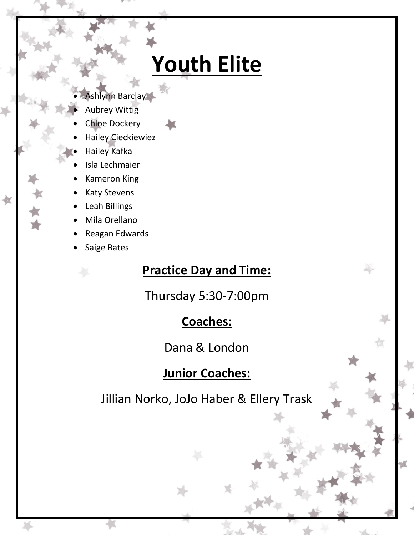# **Youth Elite**

- Ashlynn Barclay
	- Aubrey Wittig
- Chloe Dockery
- Hailey Cieckiewiez
- Hailey Kafka
- Isla Lechmaier
- Kameron King
- Katy Stevens
- Leah Billings

也

- Mila Orellano
- Reagan Edwards
- Saige Bates

#### **Practice Day and Time:**

Thursday 5:30-7:00pm

#### **Coaches:**

Dana & London

#### **Junior Coaches:**

Jillian Norko, JoJo Haber & Ellery Trask

ď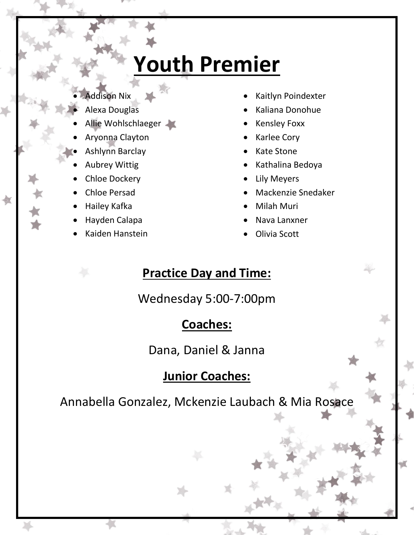# **Youth Premier**

- Addison Nix
- Alexa Douglas
- Allie Wohlschlaeger
- Aryonna Clayton
- Ashlynn Barclay
- Aubrey Wittig
- Chloe Dockery
- Chloe Persad
- Hailey Kafka
- Hayden Calapa
- Kaiden Hanstein
- Kaitlyn Poindexter
- Kaliana Donohue
- Kensley Foxx
- Karlee Cory
- Kate Stone
- Kathalina Bedoya
- Lily Meyers
- Mackenzie Snedaker
- Milah Muri
- Nava Lanxner
- Olivia Scott

### **Practice Day and Time:**

Wednesday 5:00-7:00pm

### **Coaches:**

Dana, Daniel & Janna

### **Junior Coaches:**

Annabella Gonzalez, Mckenzie Laubach & Mia Rosace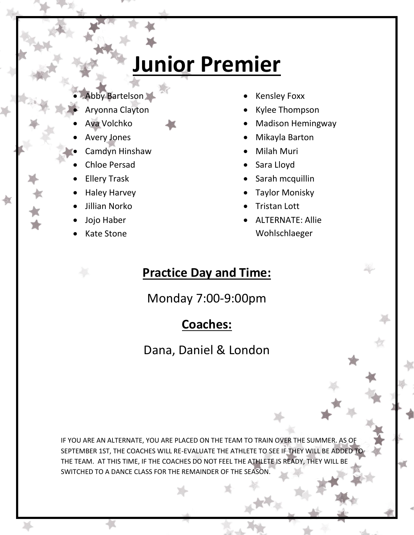# **Junior Premier**

- Abby Bartelson
- Aryonna Clayton
- Ava Volchko
- Avery Jones
- Camdyn Hinshaw
- Chloe Persad
- Ellery Trask
- Haley Harvey
- Jillian Norko
- Jojo Haber
- Kate Stone
- Kensley Foxx
- Kylee Thompson
- Madison Hemingway
- Mikayla Barton
- Milah Muri
- Sara Lloyd
- Sarah mcquillin
- Taylor Monisky
- Tristan Lott
- ALTERNATE: Allie Wohlschlaeger

### **Practice Day and Time:**

Monday 7:00-9:00pm

### **Coaches:**

Dana, Daniel & London

IF YOU ARE AN ALTERNATE, YOU ARE PLACED ON THE TEAM TO TRAIN OVER THE SUMMER. AS OF SEPTEMBER 1ST, THE COACHES WILL RE-EVALUATE THE ATHLETE TO SEE IF THEY WILL BE ADDED TO THE TEAM. AT THIS TIME, IF THE COACHES DO NOT FEEL THE ATHLETE IS READY, THEY WILL BE SWITCHED TO A DANCE CLASS FOR THE REMAINDER OF THE SEASON.